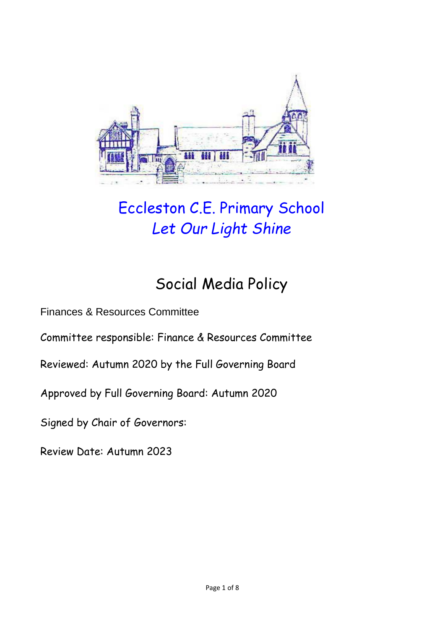

# Eccleston C.E. Primary School *Let Our Light Shine*

# Social Media Policy

Finances & Resources Committee

Committee responsible: Finance & Resources Committee

Reviewed: Autumn 2020 by the Full Governing Board

Approved by Full Governing Board: Autumn 2020

Signed by Chair of Governors:

Review Date: Autumn 2023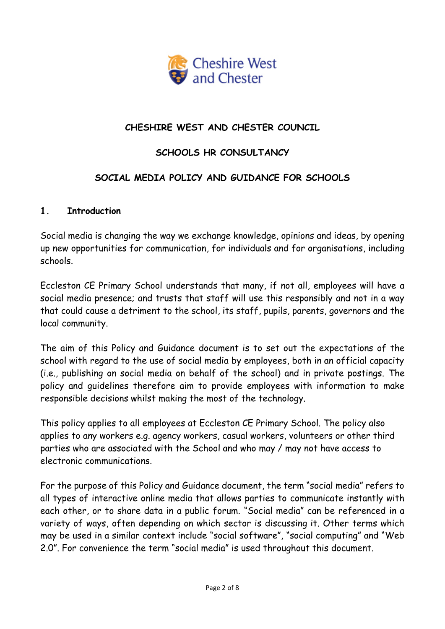

## **CHESHIRE WEST AND CHESTER COUNCIL**

#### **SCHOOLS HR CONSULTANCY**

#### **SOCIAL MEDIA POLICY AND GUIDANCE FOR SCHOOLS**

#### **1. Introduction**

Social media is changing the way we exchange knowledge, opinions and ideas, by opening up new opportunities for communication, for individuals and for organisations, including schools.

Eccleston CE Primary School understands that many, if not all, employees will have a social media presence; and trusts that staff will use this responsibly and not in a way that could cause a detriment to the school, its staff, pupils, parents, governors and the local community.

The aim of this Policy and Guidance document is to set out the expectations of the school with regard to the use of social media by employees, both in an official capacity (i.e., publishing on social media on behalf of the school) and in private postings. The policy and guidelines therefore aim to provide employees with information to make responsible decisions whilst making the most of the technology.

This policy applies to all employees at Eccleston CE Primary School. The policy also applies to any workers e.g. agency workers, casual workers, volunteers or other third parties who are associated with the School and who may / may not have access to electronic communications.

For the purpose of this Policy and Guidance document, the term "social media" refers to all types of interactive online media that allows parties to communicate instantly with each other, or to share data in a public forum. "Social media" can be referenced in a variety of ways, often depending on which sector is discussing it. Other terms which may be used in a similar context include "social software", "social computing" and "Web 2.0". For convenience the term "social media" is used throughout this document.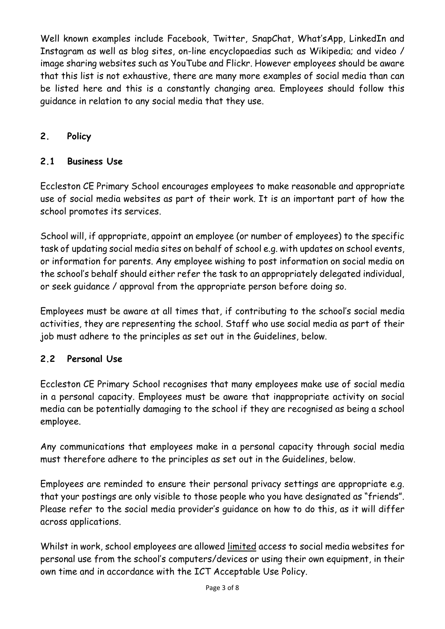Well known examples include Facebook, Twitter, SnapChat, What'sApp, LinkedIn and Instagram as well as blog sites, on-line encyclopaedias such as Wikipedia; and video / image sharing websites such as YouTube and Flickr. However employees should be aware that this list is not exhaustive, there are many more examples of social media than can be listed here and this is a constantly changing area. Employees should follow this guidance in relation to any social media that they use.

# **2. Policy**

## **2.1 Business Use**

Eccleston CE Primary School encourages employees to make reasonable and appropriate use of social media websites as part of their work. It is an important part of how the school promotes its services.

School will, if appropriate, appoint an employee (or number of employees) to the specific task of updating social media sites on behalf of school e.g. with updates on school events, or information for parents. Any employee wishing to post information on social media on the school's behalf should either refer the task to an appropriately delegated individual, or seek guidance / approval from the appropriate person before doing so.

Employees must be aware at all times that, if contributing to the school's social media activities, they are representing the school. Staff who use social media as part of their job must adhere to the principles as set out in the Guidelines, below.

## **2.2 Personal Use**

Eccleston CE Primary School recognises that many employees make use of social media in a personal capacity. Employees must be aware that inappropriate activity on social media can be potentially damaging to the school if they are recognised as being a school employee.

Any communications that employees make in a personal capacity through social media must therefore adhere to the principles as set out in the Guidelines, below.

Employees are reminded to ensure their personal privacy settings are appropriate e.g. that your postings are only visible to those people who you have designated as "friends". Please refer to the social media provider's guidance on how to do this, as it will differ across applications.

Whilst in work, school employees are allowed limited access to social media websites for personal use from the school's computers/devices or using their own equipment, in their own time and in accordance with the ICT Acceptable Use Policy.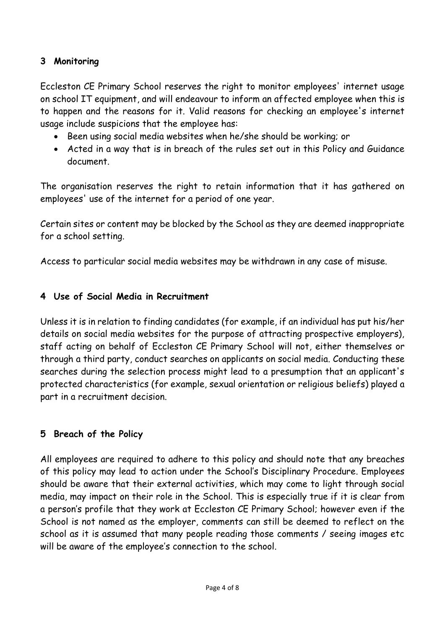#### **3 Monitoring**

Eccleston CE Primary School reserves the right to monitor employees' internet usage on school IT equipment, and will endeavour to inform an affected employee when this is to happen and the reasons for it. Valid reasons for checking an employee's internet usage include suspicions that the employee has:

- Been using social media websites when he/she should be working; or
- Acted in a way that is in breach of the rules set out in this Policy and Guidance document.

The organisation reserves the right to retain information that it has gathered on employees' use of the internet for a period of one year.

Certain sites or content may be blocked by the School as they are deemed inappropriate for a school setting.

Access to particular social media websites may be withdrawn in any case of misuse.

#### **4 Use of Social Media in Recruitment**

Unless it is in relation to finding candidates (for example, if an individual has put his/her details on social media websites for the purpose of attracting prospective employers), staff acting on behalf of Eccleston CE Primary School will not, either themselves or through a third party, conduct searches on applicants on social media. Conducting these searches during the selection process might lead to a presumption that an applicant's protected characteristics (for example, sexual orientation or religious beliefs) played a part in a recruitment decision.

## **5 Breach of the Policy**

All employees are required to adhere to this policy and should note that any breaches of this policy may lead to action under the School's Disciplinary Procedure. Employees should be aware that their external activities, which may come to light through social media, may impact on their role in the School. This is especially true if it is clear from a person's profile that they work at Eccleston CE Primary School; however even if the School is not named as the employer, comments can still be deemed to reflect on the school as it is assumed that many people reading those comments / seeing images etc will be aware of the employee's connection to the school.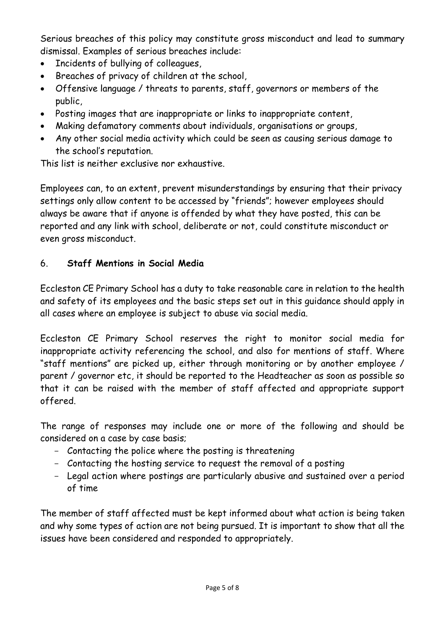Serious breaches of this policy may constitute gross misconduct and lead to summary dismissal. Examples of serious breaches include:

- Incidents of bullying of colleagues,
- Breaches of privacy of children at the school,
- Offensive language / threats to parents, staff, governors or members of the public,
- Posting images that are inappropriate or links to inappropriate content,
- Making defamatory comments about individuals, organisations or groups,
- Any other social media activity which could be seen as causing serious damage to the school's reputation.

This list is neither exclusive nor exhaustive.

Employees can, to an extent, prevent misunderstandings by ensuring that their privacy settings only allow content to be accessed by "friends"; however employees should always be aware that if anyone is offended by what they have posted, this can be reported and any link with school, deliberate or not, could constitute misconduct or even gross misconduct.

# 6. **Staff Mentions in Social Media**

Eccleston CE Primary School has a duty to take reasonable care in relation to the health and safety of its employees and the basic steps set out in this guidance should apply in all cases where an employee is subject to abuse via social media.

Eccleston CE Primary School reserves the right to monitor social media for inappropriate activity referencing the school, and also for mentions of staff. Where "staff mentions" are picked up, either through monitoring or by another employee / parent / governor etc, it should be reported to the Headteacher as soon as possible so that it can be raised with the member of staff affected and appropriate support offered.

The range of responses may include one or more of the following and should be considered on a case by case basis;

- Contacting the police where the posting is threatening
- Contacting the hosting service to request the removal of a posting
- Legal action where postings are particularly abusive and sustained over a period of time

The member of staff affected must be kept informed about what action is being taken and why some types of action are not being pursued. It is important to show that all the issues have been considered and responded to appropriately.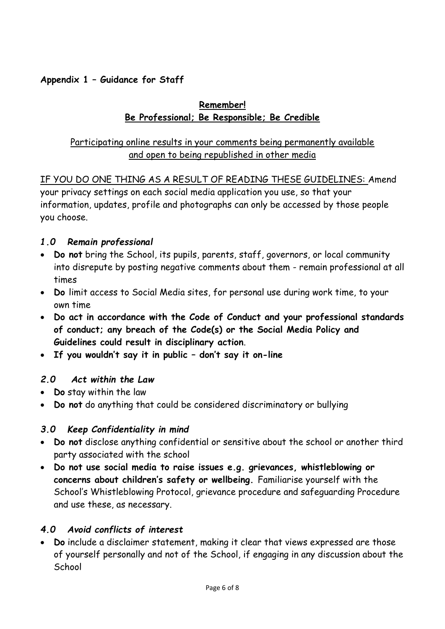## **Appendix 1 – Guidance for Staff**

### **Remember! Be Professional; Be Responsible; Be Credible**

## Participating online results in your comments being permanently available and open to being republished in other media

# IF YOU DO ONE THING AS A RESULT OF READING THESE GUIDELINES: Amend

your privacy settings on each social media application you use, so that your information, updates, profile and photographs can only be accessed by those people you choose.

## *1.0 Remain professional*

- **Do not** bring the School, its pupils, parents, staff, governors, or local community into disrepute by posting negative comments about them - remain professional at all times
- **Do** limit access to Social Media sites, for personal use during work time, to your own time
- **Do act in accordance with the Code of Conduct and your professional standards of conduct; any breach of the Code(s) or the Social Media Policy and Guidelines could result in disciplinary action**.
- **If you wouldn't say it in public – don't say it on-line**

#### *2.0 Act within the Law*

- **Do** stay within the law
- **Do not** do anything that could be considered discriminatory or bullying

## *3.0 Keep Confidentiality in mind*

- **Do not** disclose anything confidential or sensitive about the school or another third party associated with the school
- **Do not use social media to raise issues e.g. grievances, whistleblowing or concerns about children's safety or wellbeing.** Familiarise yourself with the School's Whistleblowing Protocol, grievance procedure and safeguarding Procedure and use these, as necessary.

#### *4.0 Avoid conflicts of interest*

 **Do** include a disclaimer statement, making it clear that views expressed are those of yourself personally and not of the School, if engaging in any discussion about the **School**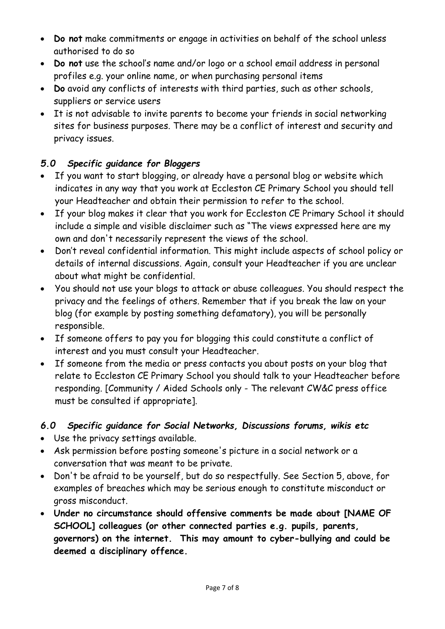- **Do not** make commitments or engage in activities on behalf of the school unless authorised to do so
- **Do not** use the school's name and/or logo or a school email address in personal profiles e.g. your online name, or when purchasing personal items
- **Do** avoid any conflicts of interests with third parties, such as other schools, suppliers or service users
- It is not advisable to invite parents to become your friends in social networking sites for business purposes. There may be a conflict of interest and security and privacy issues.

# *5.0 Specific guidance for Bloggers*

- If you want to start blogging, or already have a personal blog or website which indicates in any way that you work at Eccleston CE Primary School you should tell your Headteacher and obtain their permission to refer to the school.
- If your blog makes it clear that you work for Eccleston CE Primary School it should include a simple and visible disclaimer such as "The views expressed here are my own and don't necessarily represent the views of the school.
- Don't reveal confidential information. This might include aspects of school policy or details of internal discussions. Again, consult your Headteacher if you are unclear about what might be confidential.
- You should not use your blogs to attack or abuse colleagues. You should respect the privacy and the feelings of others. Remember that if you break the law on your blog (for example by posting something defamatory), you will be personally responsible.
- If someone offers to pay you for blogging this could constitute a conflict of interest and you must consult your Headteacher.
- If someone from the media or press contacts you about posts on your blog that relate to Eccleston CE Primary School you should talk to your Headteacher before responding. [Community / Aided Schools only - The relevant CW&C press office must be consulted if appropriate].

# *6.0 Specific guidance for Social Networks, Discussions forums, wikis etc*

- Use the privacy settings available.
- Ask permission before posting someone's picture in a social network or a conversation that was meant to be private.
- Don't be afraid to be yourself, but do so respectfully. See Section 5, above, for examples of breaches which may be serious enough to constitute misconduct or gross misconduct.
- **Under no circumstance should offensive comments be made about [NAME OF SCHOOL] colleagues (or other connected parties e.g. pupils, parents, governors) on the internet. This may amount to cyber-bullying and could be deemed a disciplinary offence.**